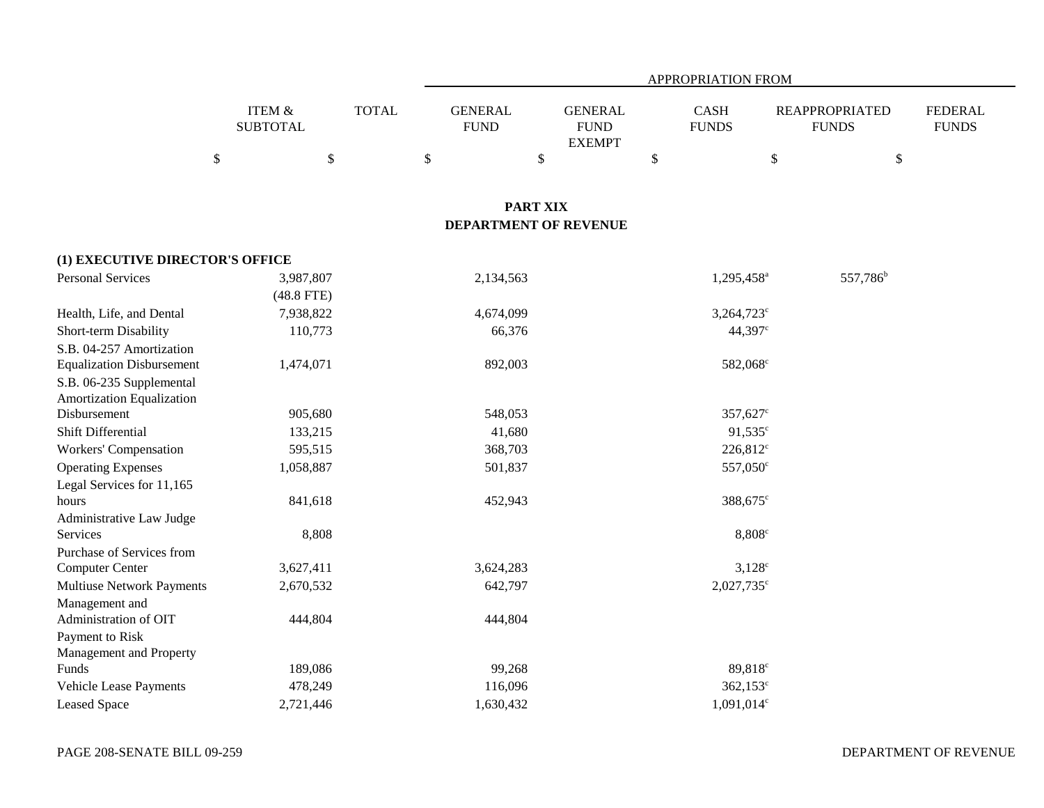|                                  |                                 |              |                               | APPROPRIATION FROM                              |                                          |                                       |                                |  |  |  |  |
|----------------------------------|---------------------------------|--------------|-------------------------------|-------------------------------------------------|------------------------------------------|---------------------------------------|--------------------------------|--|--|--|--|
|                                  | ITEM &<br><b>SUBTOTAL</b>       | <b>TOTAL</b> | <b>GENERAL</b><br><b>FUND</b> | <b>GENERAL</b><br><b>FUND</b><br><b>EXEMPT</b>  | <b>CASH</b><br><b>FUNDS</b>              | <b>REAPPROPRIATED</b><br><b>FUNDS</b> | <b>FEDERAL</b><br><b>FUNDS</b> |  |  |  |  |
|                                  | $\boldsymbol{\mathsf{S}}$<br>\$ |              | \$                            | $\boldsymbol{\mathsf{S}}$                       | \$                                       | $\$$                                  | \$                             |  |  |  |  |
|                                  |                                 |              |                               |                                                 |                                          |                                       |                                |  |  |  |  |
|                                  |                                 |              |                               | <b>PART XIX</b><br><b>DEPARTMENT OF REVENUE</b> |                                          |                                       |                                |  |  |  |  |
| (1) EXECUTIVE DIRECTOR'S OFFICE  |                                 |              |                               |                                                 |                                          |                                       |                                |  |  |  |  |
| <b>Personal Services</b>         | 3,987,807                       |              | 2,134,563                     |                                                 | 1,295,458 <sup>a</sup>                   |                                       | 557,786 <sup>b</sup>           |  |  |  |  |
|                                  | $(48.8$ FTE)                    |              |                               |                                                 |                                          |                                       |                                |  |  |  |  |
| Health, Life, and Dental         | 7,938,822                       |              | 4,674,099                     |                                                 | 3,264,723 <sup>c</sup>                   |                                       |                                |  |  |  |  |
| Short-term Disability            | 110,773                         |              | 66,376                        |                                                 | 44,397 <sup>c</sup>                      |                                       |                                |  |  |  |  |
| S.B. 04-257 Amortization         |                                 |              |                               |                                                 |                                          |                                       |                                |  |  |  |  |
| <b>Equalization Disbursement</b> | 1,474,071                       |              | 892,003                       |                                                 | 582,068 <sup>c</sup>                     |                                       |                                |  |  |  |  |
| S.B. 06-235 Supplemental         |                                 |              |                               |                                                 |                                          |                                       |                                |  |  |  |  |
| <b>Amortization Equalization</b> |                                 |              |                               |                                                 |                                          |                                       |                                |  |  |  |  |
| Disbursement                     | 905,680                         |              | 548,053                       |                                                 | 357,627 <sup>c</sup>                     |                                       |                                |  |  |  |  |
| Shift Differential               | 133,215                         |              | 41,680                        |                                                 | $91,535^{\circ}$                         |                                       |                                |  |  |  |  |
| <b>Workers' Compensation</b>     | 595,515                         |              | 368,703                       |                                                 | $226,812^c$                              |                                       |                                |  |  |  |  |
| <b>Operating Expenses</b>        | 1,058,887                       |              | 501,837                       |                                                 | 557,050 <sup>c</sup>                     |                                       |                                |  |  |  |  |
| Legal Services for 11,165        |                                 |              |                               |                                                 |                                          |                                       |                                |  |  |  |  |
| hours                            | 841,618                         |              | 452,943                       |                                                 | 388,675 <sup>c</sup>                     |                                       |                                |  |  |  |  |
| Administrative Law Judge         |                                 |              |                               |                                                 |                                          |                                       |                                |  |  |  |  |
| Services                         | 8,808                           |              |                               |                                                 | 8,808 <sup>c</sup>                       |                                       |                                |  |  |  |  |
| Purchase of Services from        |                                 |              |                               |                                                 |                                          |                                       |                                |  |  |  |  |
| Computer Center                  | 3,627,411                       |              | 3,624,283                     |                                                 | $3,128^{\circ}$                          |                                       |                                |  |  |  |  |
| <b>Multiuse Network Payments</b> | 2,670,532                       |              | 642,797                       |                                                 | 2,027,735 <sup>c</sup>                   |                                       |                                |  |  |  |  |
| Management and                   |                                 |              |                               |                                                 |                                          |                                       |                                |  |  |  |  |
| Administration of OIT            | 444,804                         |              | 444,804                       |                                                 |                                          |                                       |                                |  |  |  |  |
| Payment to Risk                  |                                 |              |                               |                                                 |                                          |                                       |                                |  |  |  |  |
| Management and Property          |                                 |              |                               |                                                 |                                          |                                       |                                |  |  |  |  |
| Funds                            | 189,086                         |              | 99,268                        |                                                 | 89,818 <sup>c</sup><br>$362,153^{\circ}$ |                                       |                                |  |  |  |  |
| Vehicle Lease Payments           | 478,249                         |              | 116,096                       |                                                 |                                          |                                       |                                |  |  |  |  |
| <b>Leased Space</b>              | 2,721,446                       |              | 1,630,432                     |                                                 | 1,091,014 <sup>c</sup>                   |                                       |                                |  |  |  |  |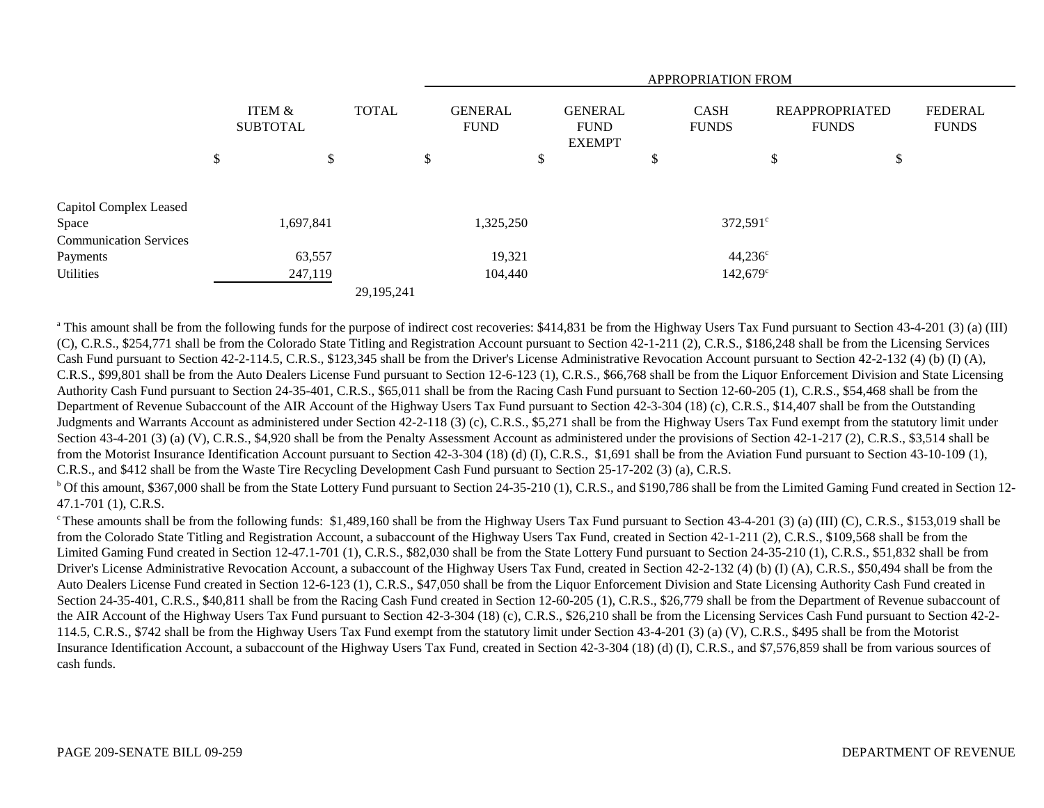|                                 |                           |    |              |                                                                                                                | <b>APPROPRIATION FROM</b> |                                       |  |                                |                   |    |    |  |
|---------------------------------|---------------------------|----|--------------|----------------------------------------------------------------------------------------------------------------|---------------------------|---------------------------------------|--|--------------------------------|-------------------|----|----|--|
|                                 | ITEM &<br><b>SUBTOTAL</b> |    | <b>TOTAL</b> | <b>GENERAL</b><br><b>GENERAL</b><br><b>CASH</b><br><b>FUND</b><br><b>FUND</b><br><b>FUNDS</b><br><b>EXEMPT</b> |                           | <b>REAPPROPRIATED</b><br><b>FUNDS</b> |  | <b>FEDERAL</b><br><b>FUNDS</b> |                   |    |    |  |
|                                 | \$                        | \$ |              | P                                                                                                              |                           | \$                                    |  | \$                             |                   | \$ | \$ |  |
| Capitol Complex Leased<br>Space | 1,697,841                 |    |              |                                                                                                                | 1,325,250                 |                                       |  |                                | $372,591^{\circ}$ |    |    |  |
| <b>Communication Services</b>   |                           |    |              |                                                                                                                |                           |                                       |  |                                |                   |    |    |  |
| Payments                        | 63,557                    |    |              |                                                                                                                | 19,321                    |                                       |  |                                | $44,236^{\circ}$  |    |    |  |
| Utilities                       | 247,119                   |    |              |                                                                                                                | 104,440                   |                                       |  |                                | 142,679°          |    |    |  |
|                                 |                           |    | 29,195,241   |                                                                                                                |                           |                                       |  |                                |                   |    |    |  |

<sup>a</sup> This amount shall be from the following funds for the purpose of indirect cost recoveries: \$414,831 be from the Highway Users Tax Fund pursuant to Section 43-4-201 (3) (a) (III) (C), C.R.S., \$254,771 shall be from the Colorado State Titling and Registration Account pursuant to Section 42-1-211 (2), C.R.S., \$186,248 shall be from the Licensing Services Cash Fund pursuant to Section 42-2-114.5, C.R.S., \$123,345 shall be from the Driver's License Administrative Revocation Account pursuant to Section 42-2-132 (4) (b) (I) (A), C.R.S., \$99,801 shall be from the Auto Dealers License Fund pursuant to Section 12-6-123 (1), C.R.S., \$66,768 shall be from the Liquor Enforcement Division and State Licensing Authority Cash Fund pursuant to Section 24-35-401, C.R.S., \$65,011 shall be from the Racing Cash Fund pursuant to Section 12-60-205 (1), C.R.S., \$54,468 shall be from the Department of Revenue Subaccount of the AIR Account of the Highway Users Tax Fund pursuant to Section 42-3-304 (18) (c), C.R.S., \$14,407 shall be from the Outstanding Judgments and Warrants Account as administered under Section 42-2-118 (3) (c), C.R.S., \$5,271 shall be from the Highway Users Tax Fund exempt from the statutory limit under Section 43-4-201 (3) (a) (V), C.R.S., \$4,920 shall be from the Penalty Assessment Account as administered under the provisions of Section 42-1-217 (2), C.R.S., \$3,514 shall be from the Motorist Insurance Identification Account pursuant to Section 42-3-304 (18) (d) (I), C.R.S., \$1,691 shall be from the Aviation Fund pursuant to Section 43-10-109 (1), C.R.S., and \$412 shall be from the Waste Tire Recycling Development Cash Fund pursuant to Section 25-17-202 (3) (a), C.R.S.

<sup>b</sup> Of this amount, \$367,000 shall be from the State Lottery Fund pursuant to Section 24-35-210 (1), C.R.S., and \$190,786 shall be from the Limited Gaming Fund created in Section 12-47.1-701 (1), C.R.S.

These amounts shall be from the following funds: \$1,489,160 shall be from the Highway Users Tax Fund pursuant to Section 43-4-201 (3) (a) (III) (C), C.R.S., \$153,019 shall be from the Colorado State Titling and Registration Account, a subaccount of the Highway Users Tax Fund, created in Section 42-1-211 (2), C.R.S., \$109,568 shall be from the Limited Gaming Fund created in Section 12-47.1-701 (1), C.R.S., \$82,030 shall be from the State Lottery Fund pursuant to Section 24-35-210 (1), C.R.S., \$51,832 shall be from Driver's License Administrative Revocation Account, a subaccount of the Highway Users Tax Fund, created in Section 42-2-132 (4) (b) (I) (A), C.R.S., \$50,494 shall be from the Auto Dealers License Fund created in Section 12-6-123 (1), C.R.S., \$47,050 shall be from the Liquor Enforcement Division and State Licensing Authority Cash Fund created in Section 24-35-401, C.R.S., \$40,811 shall be from the Racing Cash Fund created in Section 12-60-205 (1), C.R.S., \$26,779 shall be from the Department of Revenue subaccount of the AIR Account of the Highway Users Tax Fund pursuant to Section 42-3-304 (18) (c), C.R.S., \$26,210 shall be from the Licensing Services Cash Fund pursuant to Section 42-2- 114.5, C.R.S., \$742 shall be from the Highway Users Tax Fund exempt from the statutory limit under Section 43-4-201 (3) (a) (V), C.R.S., \$495 shall be from the Motorist Insurance Identification Account, a subaccount of the Highway Users Tax Fund, created in Section 42-3-304 (18) (d) (I), C.R.S., and \$7,576,859 shall be from various sources of cash funds.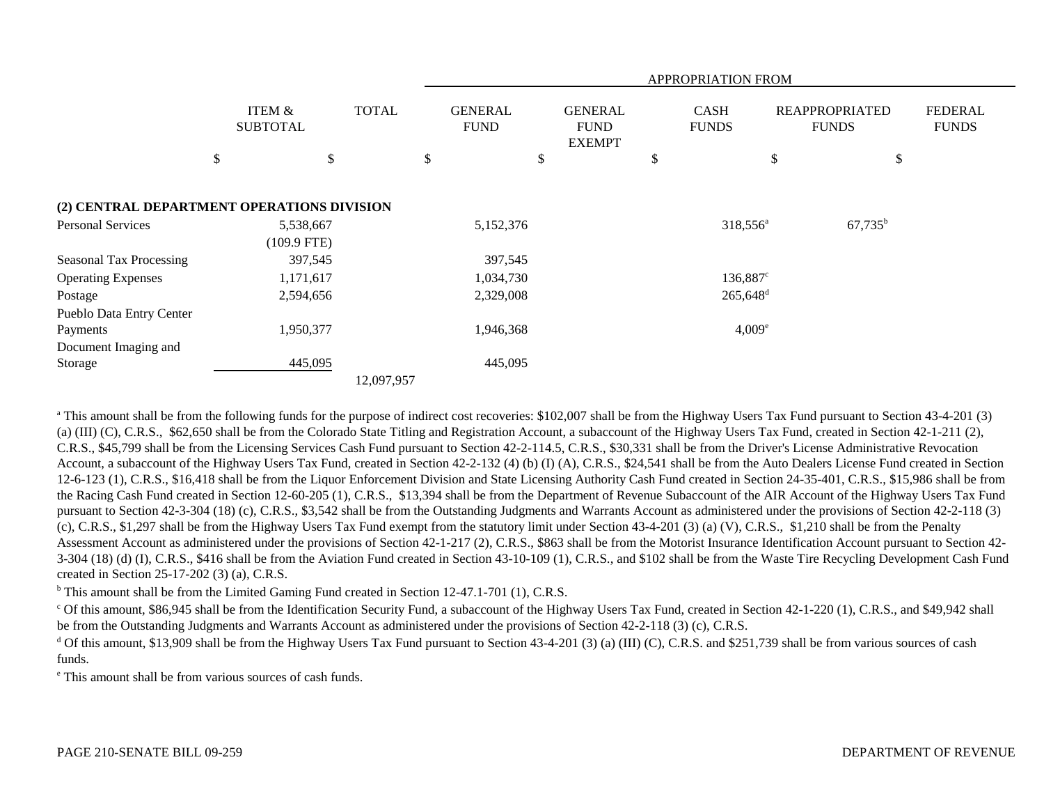|                                            | APPROPRIATION FROM         |              |    |                               |                                                |                        |                             |                                       |                  |                                |
|--------------------------------------------|----------------------------|--------------|----|-------------------------------|------------------------------------------------|------------------------|-----------------------------|---------------------------------------|------------------|--------------------------------|
|                                            | ITEM &<br><b>SUBTOTAL</b>  | <b>TOTAL</b> |    | <b>GENERAL</b><br><b>FUND</b> | <b>GENERAL</b><br><b>FUND</b><br><b>EXEMPT</b> |                        | <b>CASH</b><br><b>FUNDS</b> | <b>REAPPROPRIATED</b><br><b>FUNDS</b> |                  | <b>FEDERAL</b><br><b>FUNDS</b> |
|                                            | \$                         | \$           | \$ |                               | \$                                             | \$                     |                             | \$                                    | \$               |                                |
| (2) CENTRAL DEPARTMENT OPERATIONS DIVISION |                            |              |    |                               |                                                |                        |                             |                                       |                  |                                |
| <b>Personal Services</b>                   | 5,538,667<br>$(109.9$ FTE) |              |    | 5,152,376                     |                                                |                        | 318,556 <sup>a</sup>        |                                       | $67,735^{\rm b}$ |                                |
| <b>Seasonal Tax Processing</b>             | 397,545                    |              |    | 397,545                       |                                                |                        |                             |                                       |                  |                                |
| <b>Operating Expenses</b>                  | 1,171,617                  |              |    | 1,034,730                     |                                                | $136,887^{\circ}$      |                             |                                       |                  |                                |
| Postage                                    | 2,594,656                  |              |    | 2,329,008                     |                                                | $265,648$ <sup>d</sup> |                             |                                       |                  |                                |
| Pueblo Data Entry Center                   |                            |              |    |                               |                                                |                        |                             |                                       |                  |                                |
| Payments                                   | 1,950,377                  |              |    | 1,946,368                     |                                                |                        | $4,009^e$                   |                                       |                  |                                |
| Document Imaging and                       |                            |              |    |                               |                                                |                        |                             |                                       |                  |                                |
| Storage                                    | 445,095                    |              |    | 445,095                       |                                                |                        |                             |                                       |                  |                                |
|                                            |                            | 12,097,957   |    |                               |                                                |                        |                             |                                       |                  |                                |

<sup>a</sup> This amount shall be from the following funds for the purpose of indirect cost recoveries: \$102,007 shall be from the Highway Users Tax Fund pursuant to Section 43-4-201 (3) (a) (III) (C), C.R.S., \$62,650 shall be from the Colorado State Titling and Registration Account, a subaccount of the Highway Users Tax Fund, created in Section 42-1-211 (2), C.R.S., \$45,799 shall be from the Licensing Services Cash Fund pursuant to Section 42-2-114.5, C.R.S., \$30,331 shall be from the Driver's License Administrative Revocation Account, a subaccount of the Highway Users Tax Fund, created in Section 42-2-132 (4) (b) (I) (A), C.R.S., \$24,541 shall be from the Auto Dealers License Fund created in Section 12-6-123 (1), C.R.S., \$16,418 shall be from the Liquor Enforcement Division and State Licensing Authority Cash Fund created in Section 24-35-401, C.R.S., \$15,986 shall be from the Racing Cash Fund created in Section 12-60-205 (1), C.R.S., \$13,394 shall be from the Department of Revenue Subaccount of the AIR Account of the Highway Users Tax Fund pursuant to Section 42-3-304 (18) (c), C.R.S., \$3,542 shall be from the Outstanding Judgments and Warrants Account as administered under the provisions of Section 42-2-118 (3) (c), C.R.S., \$1,297 shall be from the Highway Users Tax Fund exempt from the statutory limit under Section 43-4-201 (3) (a) (V), C.R.S., \$1,210 shall be from the Penalty Assessment Account as administered under the provisions of Section 42-1-217 (2), C.R.S., \$863 shall be from the Motorist Insurance Identification Account pursuant to Section 42- 3-304 (18) (d) (I), C.R.S., \$416 shall be from the Aviation Fund created in Section 43-10-109 (1), C.R.S., and \$102 shall be from the Waste Tire Recycling Development Cash Fund created in Section 25-17-202 (3) (a), C.R.S.

 $b$  This amount shall be from the Limited Gaming Fund created in Section 12-47.1-701 (1), C.R.S.

<sup>c</sup> Of this amount, \$86,945 shall be from the Identification Security Fund, a subaccount of the Highway Users Tax Fund, created in Section 42-1-220 (1), C.R.S., and \$49,942 shall be from the Outstanding Judgments and Warrants Account as administered under the provisions of Section 42-2-118 (3) (c), C.R.S.

<sup>d</sup> Of this amount, \$13,909 shall be from the Highway Users Tax Fund pursuant to Section 43-4-201 (3) (a) (III) (C), C.R.S. and \$251,739 shall be from various sources of cash funds.

e This amount shall be from various sources of cash funds.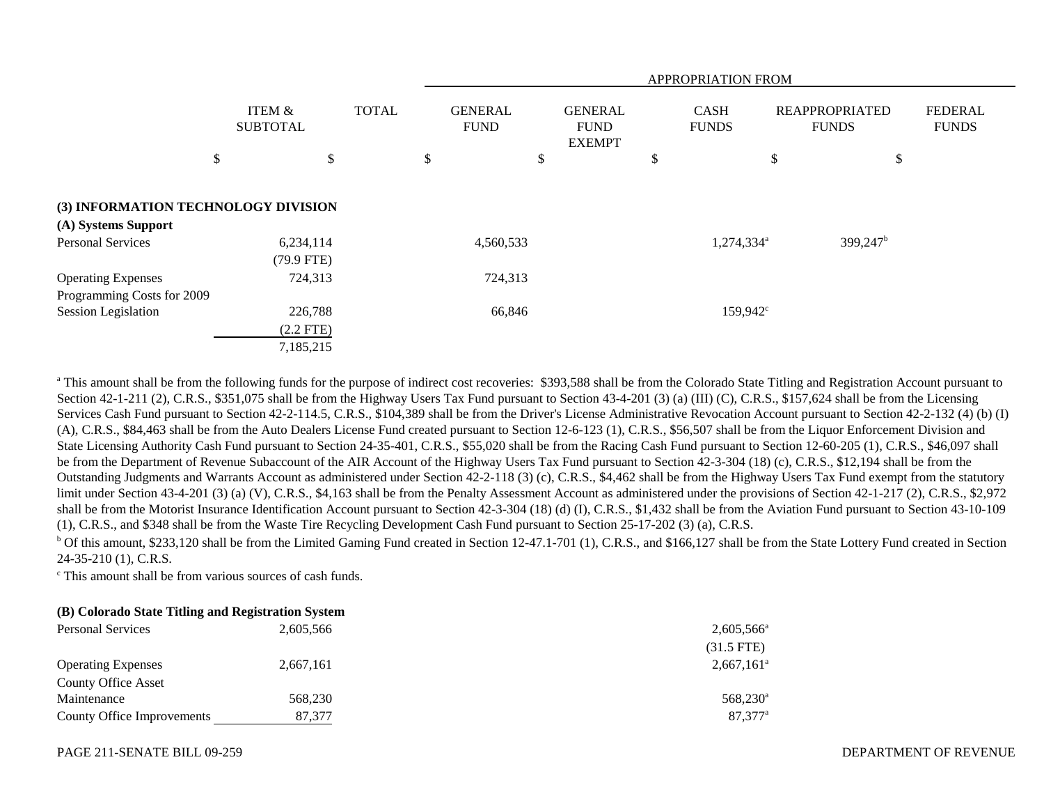|                                     |                           |              | APPROPRIATION FROM            |                                                |    |                             |                                       |                                |  |
|-------------------------------------|---------------------------|--------------|-------------------------------|------------------------------------------------|----|-----------------------------|---------------------------------------|--------------------------------|--|
|                                     | ITEM &<br><b>SUBTOTAL</b> | <b>TOTAL</b> | <b>GENERAL</b><br><b>FUND</b> | <b>GENERAL</b><br><b>FUND</b><br><b>EXEMPT</b> |    | <b>CASH</b><br><b>FUNDS</b> | <b>REAPPROPRIATED</b><br><b>FUNDS</b> | <b>FEDERAL</b><br><b>FUNDS</b> |  |
|                                     | \$<br>\$                  |              | \$                            | \$                                             | \$ | \$                          | \$                                    |                                |  |
| (3) INFORMATION TECHNOLOGY DIVISION |                           |              |                               |                                                |    |                             |                                       |                                |  |
| (A) Systems Support                 |                           |              |                               |                                                |    |                             |                                       |                                |  |
| <b>Personal Services</b>            | 6,234,114<br>$(79.9$ FTE) |              | 4,560,533                     |                                                |    | 1,274,334 <sup>a</sup>      | 399,247 <sup>b</sup>                  |                                |  |
| <b>Operating Expenses</b>           | 724,313                   |              | 724,313                       |                                                |    |                             |                                       |                                |  |
| Programming Costs for 2009          |                           |              |                               |                                                |    |                             |                                       |                                |  |
| Session Legislation                 | 226,788                   |              | 66,846                        |                                                |    | $159,942^{\circ}$           |                                       |                                |  |
|                                     | $(2.2$ FTE)               |              |                               |                                                |    |                             |                                       |                                |  |
|                                     | 7,185,215                 |              |                               |                                                |    |                             |                                       |                                |  |

<sup>a</sup> This amount shall be from the following funds for the purpose of indirect cost recoveries: \$393,588 shall be from the Colorado State Titling and Registration Account pursuant to Section 42-1-211 (2), C.R.S., \$351,075 shall be from the Highway Users Tax Fund pursuant to Section 43-4-201 (3) (a) (III) (C), C.R.S., \$157,624 shall be from the Licensing Services Cash Fund pursuant to Section 42-2-114.5, C.R.S., \$104,389 shall be from the Driver's License Administrative Revocation Account pursuant to Section 42-2-132 (4) (b) (I) (A), C.R.S., \$84,463 shall be from the Auto Dealers License Fund created pursuant to Section 12-6-123 (1), C.R.S., \$56,507 shall be from the Liquor Enforcement Division and State Licensing Authority Cash Fund pursuant to Section 24-35-401, C.R.S., \$55,020 shall be from the Racing Cash Fund pursuant to Section 12-60-205 (1), C.R.S., \$46,097 shall be from the Department of Revenue Subaccount of the AIR Account of the Highway Users Tax Fund pursuant to Section 42-3-304 (18) (c), C.R.S., \$12,194 shall be from the Outstanding Judgments and Warrants Account as administered under Section 42-2-118 (3) (c), C.R.S., \$4,462 shall be from the Highway Users Tax Fund exempt from the statutory limit under Section 43-4-201 (3) (a) (V), C.R.S., \$4,163 shall be from the Penalty Assessment Account as administered under the provisions of Section 42-1-217 (2), C.R.S., \$2,972 shall be from the Motorist Insurance Identification Account pursuant to Section 42-3-304 (18) (d) (I), C.R.S., \$1,432 shall be from the Aviation Fund pursuant to Section 43-10-109 (1), C.R.S., and \$348 shall be from the Waste Tire Recycling Development Cash Fund pursuant to Section 25-17-202 (3) (a), C.R.S.

<sup>b</sup> Of this amount, \$233,120 shall be from the Limited Gaming Fund created in Section 12-47.1-701 (1), C.R.S., and \$166,127 shall be from the State Lottery Fund created in Section 24-35-210 (1), C.R.S.

c This amount shall be from various sources of cash funds.

# **(B) Colorado State Titling and Registration System**

| <b>Personal Services</b>   | 2,605,566 | $2,605,566^{\circ}$ |
|----------------------------|-----------|---------------------|
|                            |           | $(31.5$ FTE)        |
| <b>Operating Expenses</b>  | 2,667,161 | $2,667,161^{\circ}$ |
| <b>County Office Asset</b> |           |                     |
| Maintenance                | 568,230   | $568,230^{\circ}$   |
| County Office Improvements | 87,377    | $87.377^{\circ}$    |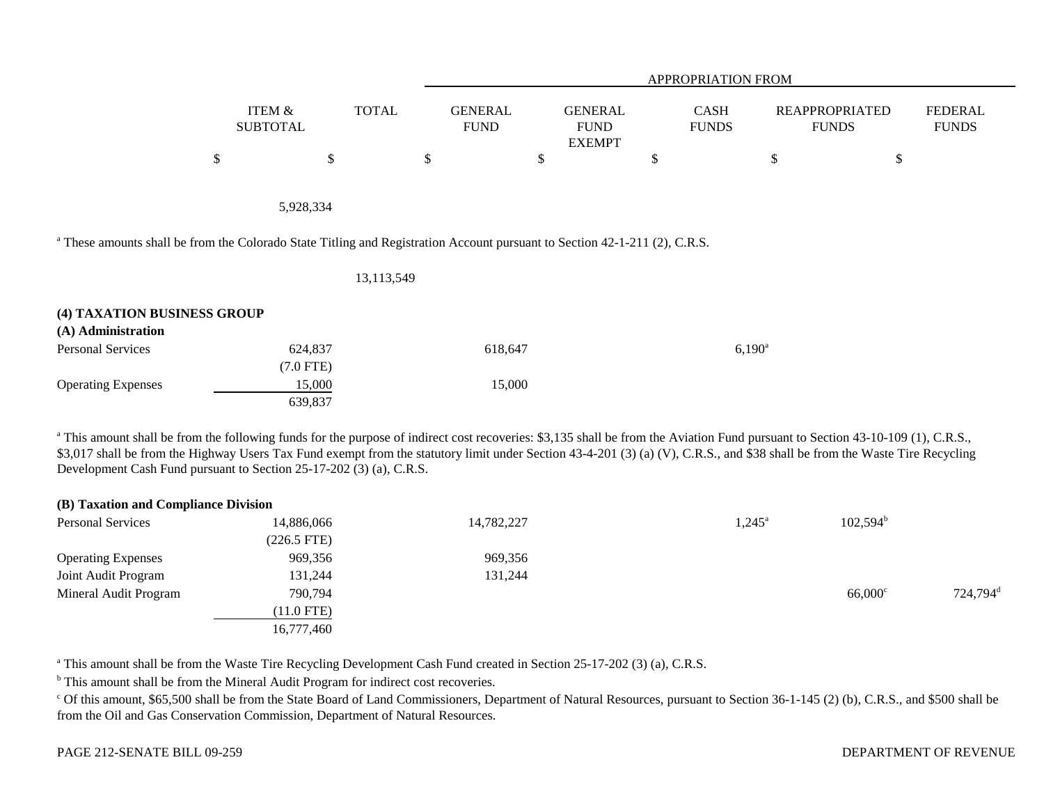|    |                           |              | <b>APPROPRIATION FROM</b>     |                                                |                             |                                       |                                |  |  |  |
|----|---------------------------|--------------|-------------------------------|------------------------------------------------|-----------------------------|---------------------------------------|--------------------------------|--|--|--|
|    | ITEM &<br><b>SUBTOTAL</b> | <b>TOTAL</b> | <b>GENERAL</b><br><b>FUND</b> | <b>GENERAL</b><br><b>FUND</b><br><b>EXEMPT</b> | <b>CASH</b><br><b>FUNDS</b> | <b>REAPPROPRIATED</b><br><b>FUNDS</b> | <b>FEDERAL</b><br><b>FUNDS</b> |  |  |  |
| κD | D                         | ◡            |                               | \$                                             | D                           | кD                                    |                                |  |  |  |
|    | 5,928,334                 |              |                               |                                                |                             |                                       |                                |  |  |  |

<sup>a</sup> These amounts shall be from the Colorado State Titling and Registration Account pursuant to Section 42-1-211 (2), C.R.S.

|                                                   | 13, 113, 549 |         |                 |
|---------------------------------------------------|--------------|---------|-----------------|
| (4) TAXATION BUSINESS GROUP<br>(A) Administration |              |         |                 |
| <b>Personal Services</b>                          | 624,837      | 618,647 | $6,190^{\rm a}$ |
|                                                   | $(7.0$ FTE)  |         |                 |
| <b>Operating Expenses</b>                         | 15,000       | 15,000  |                 |
|                                                   | 639,837      |         |                 |

<sup>a</sup> This amount shall be from the following funds for the purpose of indirect cost recoveries: \$3,135 shall be from the Aviation Fund pursuant to Section 43-10-109 (1), C.R.S., \$3,017 shall be from the Highway Users Tax Fund exempt from the statutory limit under Section 43-4-201 (3) (a) (V), C.R.S., and \$38 shall be from the Waste Tire Recycling Development Cash Fund pursuant to Section 25-17-202 (3) (a), C.R.S.

| (B) Taxation and Compliance Division |            |                 |                   |                      |
|--------------------------------------|------------|-----------------|-------------------|----------------------|
| 14,886,066                           | 14,782,227 | $1,245^{\circ}$ | $102,594^{\rm b}$ |                      |
| $(226.5$ FTE)                        |            |                 |                   |                      |
| 969,356                              | 969,356    |                 |                   |                      |
| 131,244                              | 131,244    |                 |                   |                      |
| 790,794                              |            |                 | $66,000^{\circ}$  | 724,794 <sup>d</sup> |
| $(11.0$ FTE)                         |            |                 |                   |                      |
| 16,777,460                           |            |                 |                   |                      |
|                                      |            |                 |                   |                      |

<sup>a</sup> This amount shall be from the Waste Tire Recycling Development Cash Fund created in Section 25-17-202 (3) (a), C.R.S.

<sup>b</sup> This amount shall be from the Mineral Audit Program for indirect cost recoveries.

<sup>c</sup> Of this amount, \$65,500 shall be from the State Board of Land Commissioners, Department of Natural Resources, pursuant to Section 36-1-145 (2) (b), C.R.S., and \$500 shall be from the Oil and Gas Conservation Commission, Department of Natural Resources.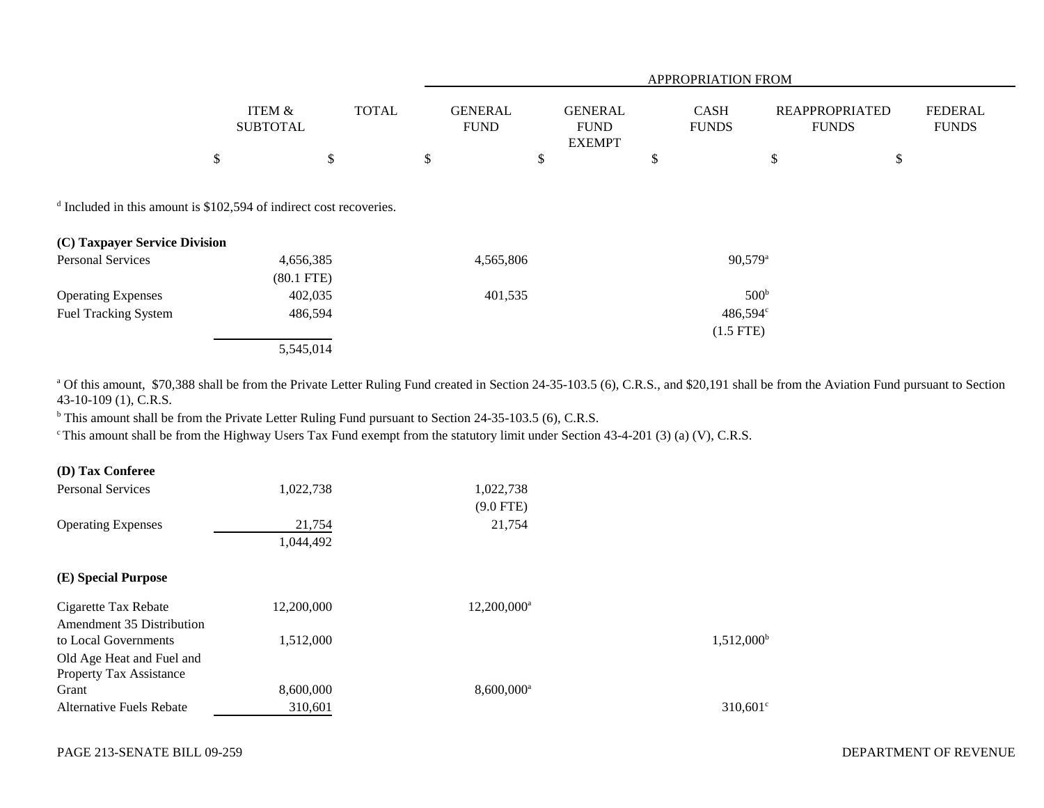|                                                                                                                 |                                      |              | APPROPRIATION FROM            |                                                |                             |                  |                                                                         |  |  |
|-----------------------------------------------------------------------------------------------------------------|--------------------------------------|--------------|-------------------------------|------------------------------------------------|-----------------------------|------------------|-------------------------------------------------------------------------|--|--|
|                                                                                                                 | <b>ITEM &amp;</b><br><b>SUBTOTAL</b> | <b>TOTAL</b> | <b>GENERAL</b><br><b>FUND</b> | <b>GENERAL</b><br><b>FUND</b><br><b>EXEMPT</b> | <b>CASH</b><br><b>FUNDS</b> |                  | <b>FEDERAL</b><br><b>REAPPROPRIATED</b><br><b>FUNDS</b><br><b>FUNDS</b> |  |  |
|                                                                                                                 | \$                                   | \$           | \$                            | \$                                             | \$                          | \$               | \$                                                                      |  |  |
| <sup>d</sup> Included in this amount is \$102,594 of indirect cost recoveries.<br>(C) Taxpayer Service Division |                                      |              |                               |                                                |                             |                  |                                                                         |  |  |
| <b>Personal Services</b>                                                                                        | 4,656,385<br>$(80.1$ FTE)            |              | 4,565,806                     |                                                |                             | $90,579^{\rm a}$ |                                                                         |  |  |
| <b>Operating Expenses</b>                                                                                       | 402,035                              |              | 401,535                       |                                                |                             | 500 <sup>b</sup> |                                                                         |  |  |
| <b>Fuel Tracking System</b>                                                                                     | 486,594                              |              |                               |                                                |                             | 486,594°         |                                                                         |  |  |
|                                                                                                                 |                                      |              |                               |                                                |                             | $(1.5$ FTE)      |                                                                         |  |  |
|                                                                                                                 | 5,545,014                            |              |                               |                                                |                             |                  |                                                                         |  |  |

<sup>a</sup> Of this amount, \$70,388 shall be from the Private Letter Ruling Fund created in Section 24-35-103.5 (6), C.R.S., and \$20,191 shall be from the Aviation Fund pursuant to Section 43-10-109 (1), C.R.S.

<sup>b</sup> This amount shall be from the Private Letter Ruling Fund pursuant to Section 24-35-103.5 (6), C.R.S.

c This amount shall be from the Highway Users Tax Fund exempt from the statutory limit under Section 43-4-201 (3) (a) (V), C.R.S.

| <b>Personal Services</b>       | 1,022,738  | 1,022,738                |                     |
|--------------------------------|------------|--------------------------|---------------------|
|                                |            | $(9.0$ FTE)              |                     |
| <b>Operating Expenses</b>      | 21,754     | 21,754                   |                     |
|                                | 1,044,492  |                          |                     |
| (E) Special Purpose            |            |                          |                     |
| Cigarette Tax Rebate           | 12,200,000 | 12,200,000 <sup>a</sup>  |                     |
| Amendment 35 Distribution      |            |                          |                     |
| to Local Governments           | 1,512,000  |                          | $1,512,000^{\rm b}$ |
| Old Age Heat and Fuel and      |            |                          |                     |
| <b>Property Tax Assistance</b> |            |                          |                     |
| Grant                          | 8,600,000  | $8,600,000$ <sup>a</sup> |                     |
| Alternative Fuels Rebate       | 310,601    |                          | $310,601^{\circ}$   |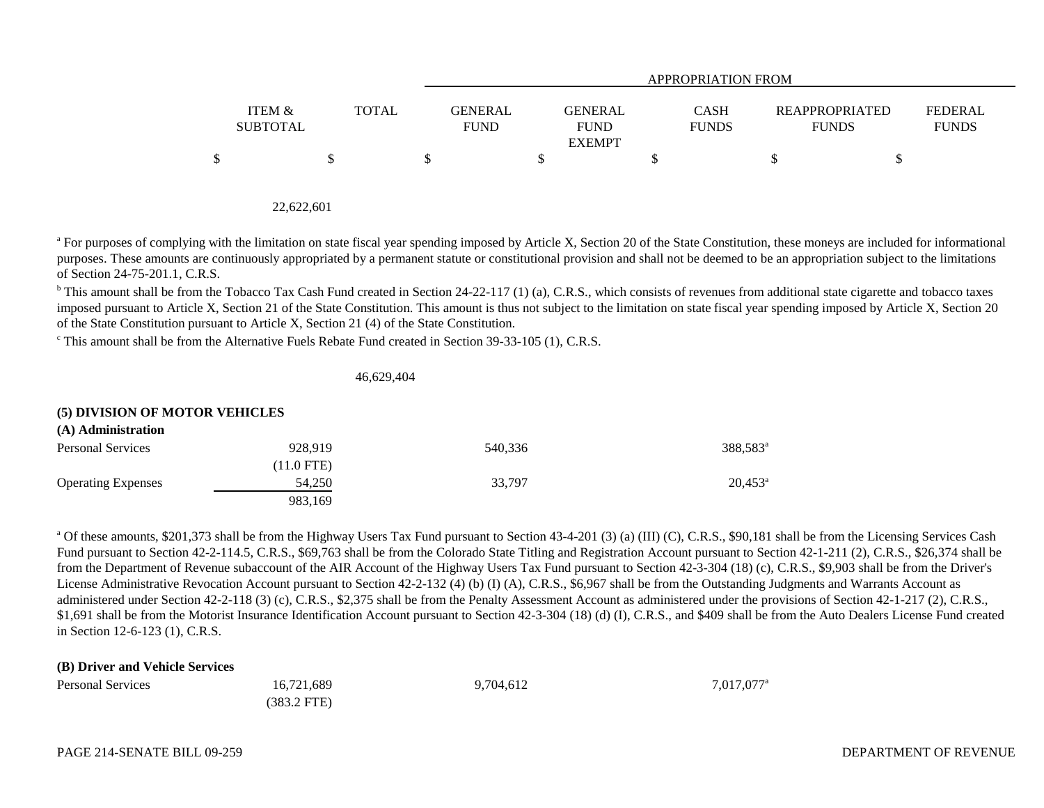|                                      |              |                               | <b>APPROPRIATION FROM</b>                      |                             |                                       |                                |  |  |  |  |  |
|--------------------------------------|--------------|-------------------------------|------------------------------------------------|-----------------------------|---------------------------------------|--------------------------------|--|--|--|--|--|
| <b>ITEM &amp;</b><br><b>SUBTOTAL</b> | <b>TOTAL</b> | <b>GENERAL</b><br><b>FUND</b> | <b>GENERAL</b><br><b>FUND</b><br><b>EXEMPT</b> | <b>CASH</b><br><b>FUNDS</b> | <b>REAPPROPRIATED</b><br><b>FUNDS</b> | <b>FEDERAL</b><br><b>FUNDS</b> |  |  |  |  |  |
| \$                                   | S.           |                               |                                                |                             |                                       |                                |  |  |  |  |  |

| 22,622,601 |  |
|------------|--|
|            |  |

<sup>a</sup> For purposes of complying with the limitation on state fiscal year spending imposed by Article X, Section 20 of the State Constitution, these moneys are included for informational purposes. These amounts are continuously appropriated by a permanent statute or constitutional provision and shall not be deemed to be an appropriation subject to the limitations of Section 24-75-201.1, C.R.S.

 $b$  This amount shall be from the Tobacco Tax Cash Fund created in Section 24-22-117 (1) (a), C.R.S., which consists of revenues from additional state cigarette and tobacco taxes imposed pursuant to Article X, Section 21 of the State Constitution. This amount is thus not subject to the limitation on state fiscal year spending imposed by Article X, Section 20 of the State Constitution pursuant to Article X, Section 21 (4) of the State Constitution.

c This amount shall be from the Alternative Fuels Rebate Fund created in Section 39-33-105 (1), C.R.S.

46,629,404

## **(5) DIVISION OF MOTOR VEHICLES**

| (A) Administration        |              |         |                      |
|---------------------------|--------------|---------|----------------------|
| <b>Personal Services</b>  | 928.919      | 540.336 | 388,583 <sup>a</sup> |
|                           | $(11.0$ FTE) |         |                      |
| <b>Operating Expenses</b> | 54.250       | 33.797  | $20,453^{\rm a}$     |
|                           | 983.169      |         |                      |

<sup>a</sup> Of these amounts, \$201,373 shall be from the Highway Users Tax Fund pursuant to Section 43-4-201 (3) (a) (III) (C), C.R.S., \$90,181 shall be from the Licensing Services Cash Fund pursuant to Section 42-2-114.5, C.R.S., \$69,763 shall be from the Colorado State Titling and Registration Account pursuant to Section 42-1-211 (2), C.R.S., \$26,374 shall be from the Department of Revenue subaccount of the AIR Account of the Highway Users Tax Fund pursuant to Section 42-3-304 (18) (c), C.R.S., \$9,903 shall be from the Driver's License Administrative Revocation Account pursuant to Section 42-2-132 (4) (b) (I) (A), C.R.S., \$6,967 shall be from the Outstanding Judgments and Warrants Account as administered under Section 42-2-118 (3) (c), C.R.S., \$2,375 shall be from the Penalty Assessment Account as administered under the provisions of Section 42-1-217 (2), C.R.S., \$1,691 shall be from the Motorist Insurance Identification Account pursuant to Section 42-3-304 (18) (d) (I), C.R.S., and \$409 shall be from the Auto Dealers License Fund created in Section 12-6-123 (1), C.R.S.

## **(B) Driver and Vehicle Services**

| <b>Personal Services</b> | 16,721,689    | 9,704,612 | $7,017,077$ <sup>a</sup> |
|--------------------------|---------------|-----------|--------------------------|
|                          | $(383.2$ FTE) |           |                          |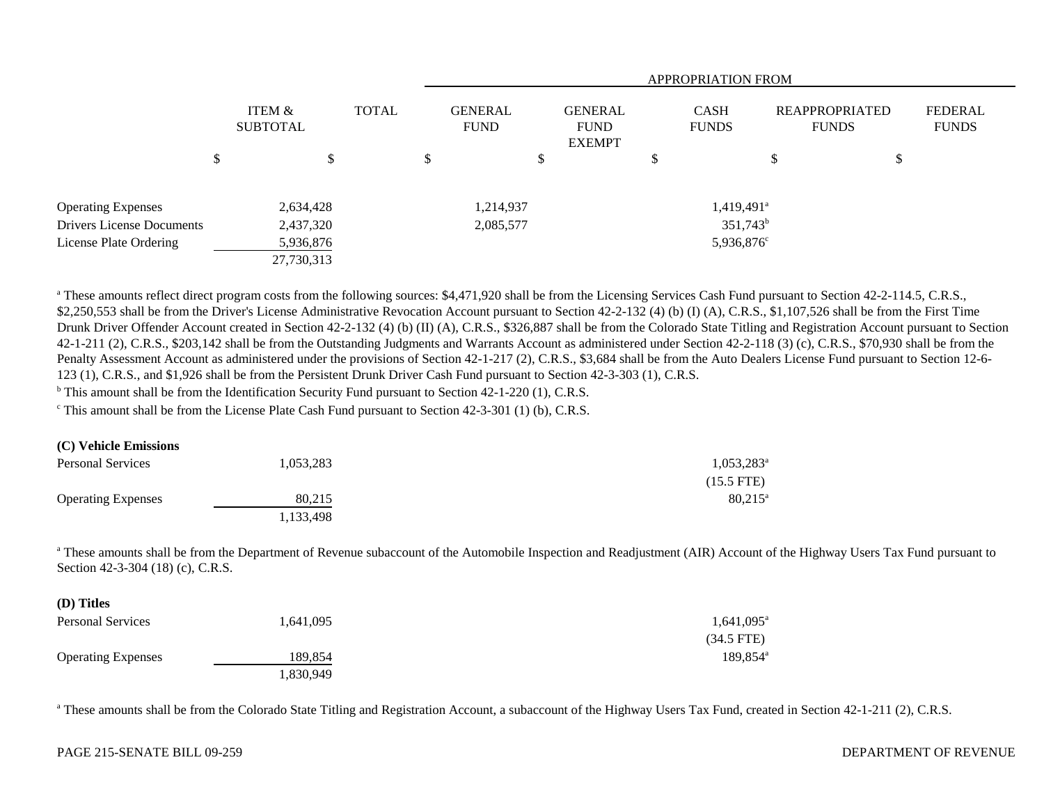|                                  |                           |       | <b>APPROPRIATION FROM</b>     |   |                                                |                             |    |                                       |                                |
|----------------------------------|---------------------------|-------|-------------------------------|---|------------------------------------------------|-----------------------------|----|---------------------------------------|--------------------------------|
|                                  | ITEM &<br><b>SUBTOTAL</b> | TOTAL | <b>GENERAL</b><br><b>FUND</b> |   | <b>GENERAL</b><br><b>FUND</b><br><b>EXEMPT</b> | <b>CASH</b><br><b>FUNDS</b> |    | <b>REAPPROPRIATED</b><br><b>FUNDS</b> | <b>FEDERAL</b><br><b>FUNDS</b> |
|                                  | \$<br>\$                  |       | \$                            | D | D                                              |                             | \$ | \$                                    |                                |
| <b>Operating Expenses</b>        | 2,634,428                 |       | 1,214,937                     |   |                                                | $1,419,491$ <sup>a</sup>    |    |                                       |                                |
| <b>Drivers License Documents</b> | 2,437,320                 |       | 2,085,577                     |   |                                                | $351,743^b$                 |    |                                       |                                |
| License Plate Ordering           | 5,936,876                 |       |                               |   |                                                | 5,936,876 <sup>c</sup>      |    |                                       |                                |
|                                  | 27,730,313                |       |                               |   |                                                |                             |    |                                       |                                |

<sup>a</sup> These amounts reflect direct program costs from the following sources: \$4,471,920 shall be from the Licensing Services Cash Fund pursuant to Section 42-2-114.5, C.R.S., \$2,250,553 shall be from the Driver's License Administrative Revocation Account pursuant to Section 42-2-132 (4) (b) (I) (A), C.R.S., \$1,107,526 shall be from the First Time Drunk Driver Offender Account created in Section 42-2-132 (4) (b) (II) (A), C.R.S., \$326,887 shall be from the Colorado State Titling and Registration Account pursuant to Section 42-1-211 (2), C.R.S., \$203,142 shall be from the Outstanding Judgments and Warrants Account as administered under Section 42-2-118 (3) (c), C.R.S., \$70,930 shall be from the Penalty Assessment Account as administered under the provisions of Section 42-1-217 (2), C.R.S., \$3,684 shall be from the Auto Dealers License Fund pursuant to Section 12-6- 123 (1), C.R.S., and \$1,926 shall be from the Persistent Drunk Driver Cash Fund pursuant to Section 42-3-303 (1), C.R.S.

<sup>b</sup> This amount shall be from the Identification Security Fund pursuant to Section 42-1-220 (1), C.R.S.

c This amount shall be from the License Plate Cash Fund pursuant to Section 42-3-301 (1) (b), C.R.S.

#### **(C) Vehicle Emissions**

**(D) Titles**

| <b>Personal Services</b>  | 1,053,283 | 1,053,283 <sup>a</sup> |
|---------------------------|-----------|------------------------|
|                           |           | $(15.5$ FTE)           |
| <b>Operating Expenses</b> | 80.215    | $80.215$ <sup>a</sup>  |
|                           | 1,133,498 |                        |

<sup>a</sup> These amounts shall be from the Department of Revenue subaccount of the Automobile Inspection and Readjustment (AIR) Account of the Highway Users Tax Fund pursuant to Section 42-3-304 (18) (c), C.R.S.

| (D) Titles                |           |                      |
|---------------------------|-----------|----------------------|
| <b>Personal Services</b>  | 1,641,095 | $1,641,095^{\circ}$  |
|                           |           | $(34.5$ FTE)         |
| <b>Operating Expenses</b> | 189,854   | 189.854 <sup>a</sup> |
|                           | 1,830,949 |                      |

<sup>a</sup> These amounts shall be from the Colorado State Titling and Registration Account, a subaccount of the Highway Users Tax Fund, created in Section 42-1-211 (2), C.R.S.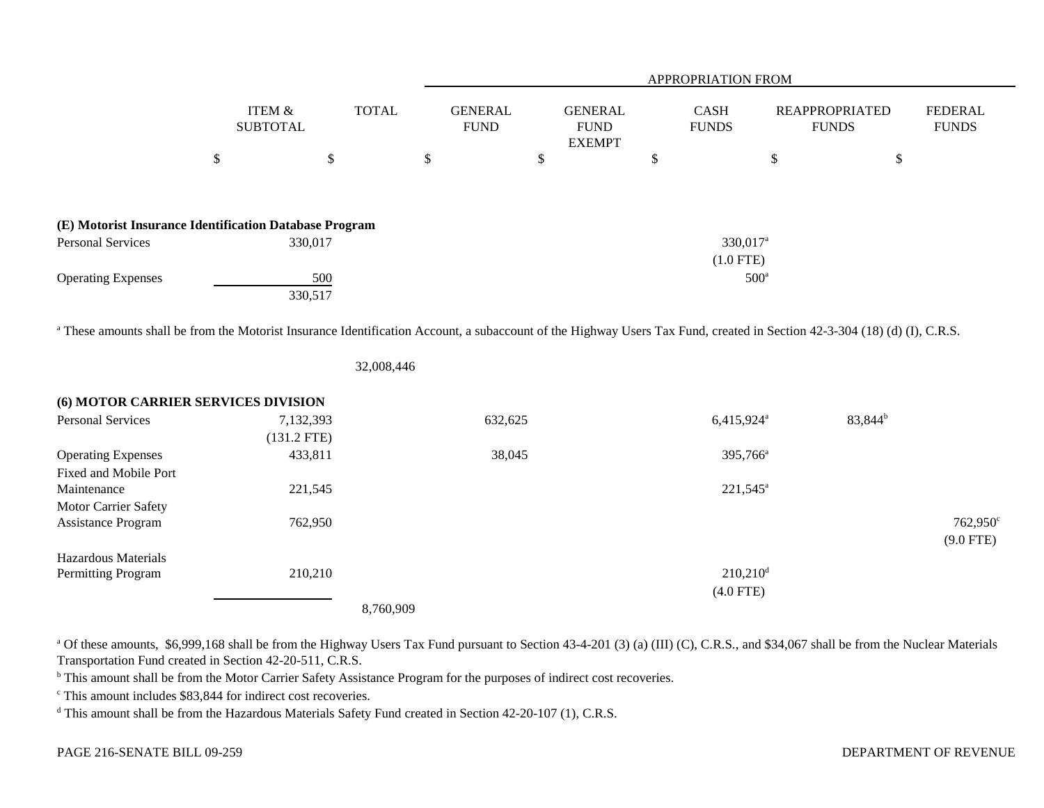|                                                                                                                                                                                      |      |                                      |              |                               |                                                 | APPROPRIATION FROM          |               |                                       |                                |
|--------------------------------------------------------------------------------------------------------------------------------------------------------------------------------------|------|--------------------------------------|--------------|-------------------------------|-------------------------------------------------|-----------------------------|---------------|---------------------------------------|--------------------------------|
|                                                                                                                                                                                      |      | <b>ITEM &amp;</b><br><b>SUBTOTAL</b> | <b>TOTAL</b> | <b>GENERAL</b><br><b>FUND</b> | <b>GENERAL</b><br>${\rm FUND}$<br><b>EXEMPT</b> | <b>CASH</b><br><b>FUNDS</b> |               | <b>REAPPROPRIATED</b><br><b>FUNDS</b> | <b>FEDERAL</b><br><b>FUNDS</b> |
|                                                                                                                                                                                      | $\$$ | \$                                   |              | \$                            | \$                                              | \$                          | $\$$          | \$                                    |                                |
| (E) Motorist Insurance Identification Database Program                                                                                                                               |      |                                      |              |                               |                                                 |                             |               |                                       |                                |
| <b>Personal Services</b>                                                                                                                                                             |      | 330,017                              |              |                               |                                                 | 330,017 <sup>a</sup>        |               |                                       |                                |
|                                                                                                                                                                                      |      |                                      |              |                               |                                                 | $(1.0$ FTE)                 |               |                                       |                                |
| <b>Operating Expenses</b>                                                                                                                                                            |      | 500                                  |              |                               |                                                 |                             | $500^{\circ}$ |                                       |                                |
|                                                                                                                                                                                      |      | 330,517                              |              |                               |                                                 |                             |               |                                       |                                |
| <sup>a</sup> These amounts shall be from the Motorist Insurance Identification Account, a subaccount of the Highway Users Tax Fund, created in Section 42-3-304 (18) (d) (I), C.R.S. |      |                                      | 32,008,446   |                               |                                                 |                             |               |                                       |                                |
| (6) MOTOR CARRIER SERVICES DIVISION                                                                                                                                                  |      |                                      |              |                               |                                                 |                             |               |                                       |                                |
| <b>Personal Services</b>                                                                                                                                                             |      | 7,132,393                            |              | 632,625                       |                                                 | 6,415,924 <sup>a</sup>      |               | 83,844 <sup>b</sup>                   |                                |
|                                                                                                                                                                                      |      | $(131.2$ FTE)                        |              |                               |                                                 |                             |               |                                       |                                |
| <b>Operating Expenses</b>                                                                                                                                                            |      | 433,811                              |              | 38,045                        |                                                 | 395,766 <sup>a</sup>        |               |                                       |                                |
| Fixed and Mobile Port                                                                                                                                                                |      |                                      |              |                               |                                                 |                             |               |                                       |                                |
| Maintenance                                                                                                                                                                          |      | 221,545                              |              |                               |                                                 | $221,545^{\circ}$           |               |                                       |                                |
| Motor Carrier Safety                                                                                                                                                                 |      |                                      |              |                               |                                                 |                             |               |                                       |                                |
| Assistance Program                                                                                                                                                                   |      | 762,950                              |              |                               |                                                 |                             |               |                                       | 762,950 <sup>c</sup>           |
|                                                                                                                                                                                      |      |                                      |              |                               |                                                 |                             |               |                                       | $(9.0$ FTE)                    |
| Hazardous Materials                                                                                                                                                                  |      |                                      |              |                               |                                                 |                             |               |                                       |                                |
| Permitting Program                                                                                                                                                                   |      | 210,210                              |              |                               |                                                 | $210,210$ <sup>d</sup>      |               |                                       |                                |
|                                                                                                                                                                                      |      |                                      |              |                               |                                                 | $(4.0$ FTE)                 |               |                                       |                                |
|                                                                                                                                                                                      |      |                                      | 8,760,909    |                               |                                                 |                             |               |                                       |                                |

<sup>a</sup> Of these amounts, \$6,999,168 shall be from the Highway Users Tax Fund pursuant to Section 43-4-201 (3) (a) (III) (C), C.R.S., and \$34,067 shall be from the Nuclear Materials Transportation Fund created in Section 42-20-511, C.R.S.

<sup>b</sup> This amount shall be from the Motor Carrier Safety Assistance Program for the purposes of indirect cost recoveries.

c This amount includes \$83,844 for indirect cost recoveries.

d This amount shall be from the Hazardous Materials Safety Fund created in Section 42-20-107 (1), C.R.S.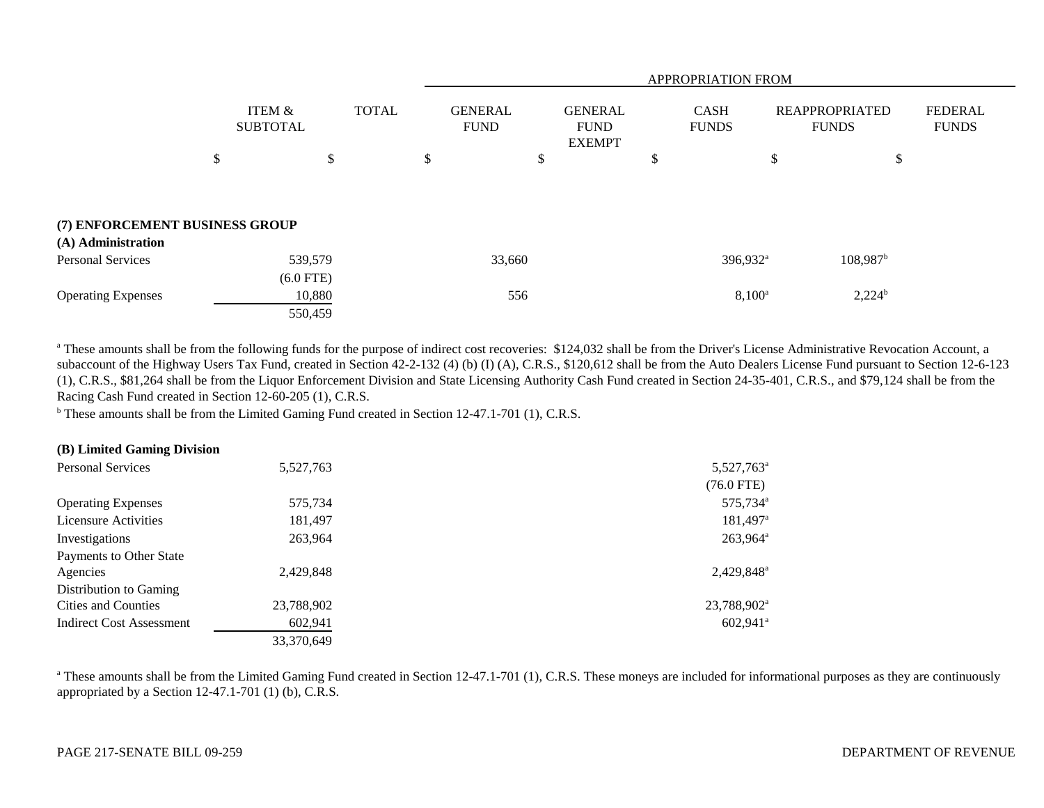|                                |        |                                 |    |                               | APPROPRIATION FROM |                                                |   |                             |    |                                |                                |  |
|--------------------------------|--------|---------------------------------|----|-------------------------------|--------------------|------------------------------------------------|---|-----------------------------|----|--------------------------------|--------------------------------|--|
|                                | ITEM & | <b>TOTAL</b><br><b>SUBTOTAL</b> |    | <b>GENERAL</b><br><b>FUND</b> |                    | <b>GENERAL</b><br><b>FUND</b><br><b>EXEMPT</b> |   | <b>CASH</b><br><b>FUNDS</b> |    | REAPPROPRIATED<br><b>FUNDS</b> | <b>FEDERAL</b><br><b>FUNDS</b> |  |
|                                | \$     | \$                              | \$ |                               | \$                 |                                                | D |                             | \$ | \$                             |                                |  |
| (7) ENFORCEMENT BUSINESS GROUP |        |                                 |    |                               |                    |                                                |   |                             |    |                                |                                |  |
| (A) Administration             |        |                                 |    |                               |                    |                                                |   |                             |    |                                |                                |  |
| <b>Personal Services</b>       |        | 539,579                         |    | 33,660                        |                    |                                                |   | 396,932 <sup>a</sup>        |    | $108,987$ <sup>b</sup>         |                                |  |
|                                |        | $(6.0$ FTE)                     |    |                               |                    |                                                |   |                             |    |                                |                                |  |
| <b>Operating Expenses</b>      |        | 10,880                          |    | 556                           |                    |                                                |   | $8,100^{\circ}$             |    | $2,224^b$                      |                                |  |
|                                |        | 550,459                         |    |                               |                    |                                                |   |                             |    |                                |                                |  |

<sup>a</sup> These amounts shall be from the following funds for the purpose of indirect cost recoveries: \$124,032 shall be from the Driver's License Administrative Revocation Account, a subaccount of the Highway Users Tax Fund, created in Section 42-2-132 (4) (b) (I) (A), C.R.S., \$120,612 shall be from the Auto Dealers License Fund pursuant to Section 12-6-123 (1), C.R.S., \$81,264 shall be from the Liquor Enforcement Division and State Licensing Authority Cash Fund created in Section 24-35-401, C.R.S., and \$79,124 shall be from the Racing Cash Fund created in Section 12-60-205 (1), C.R.S.

<sup>b</sup> These amounts shall be from the Limited Gaming Fund created in Section 12-47.1-701 (1), C.R.S.

## **(B) Limited Gaming Division**

| <b>Personal Services</b>    | 5,527,763  | 5,527,763 <sup>a</sup>  |
|-----------------------------|------------|-------------------------|
|                             |            | $(76.0$ FTE)            |
| <b>Operating Expenses</b>   | 575,734    | 575,734 <sup>a</sup>    |
| <b>Licensure Activities</b> | 181,497    | $181,497$ <sup>a</sup>  |
| Investigations              | 263,964    | 263,964 <sup>a</sup>    |
| Payments to Other State     |            |                         |
| Agencies                    | 2,429,848  | 2,429,848 <sup>a</sup>  |
| Distribution to Gaming      |            |                         |
| Cities and Counties         | 23,788,902 | 23,788,902 <sup>a</sup> |
| Indirect Cost Assessment    | 602,941    | $602,941$ <sup>a</sup>  |
|                             | 33,370,649 |                         |

<sup>a</sup> These amounts shall be from the Limited Gaming Fund created in Section 12-47.1-701 (1), C.R.S. These moneys are included for informational purposes as they are continuously appropriated by a Section 12-47.1-701 (1) (b), C.R.S.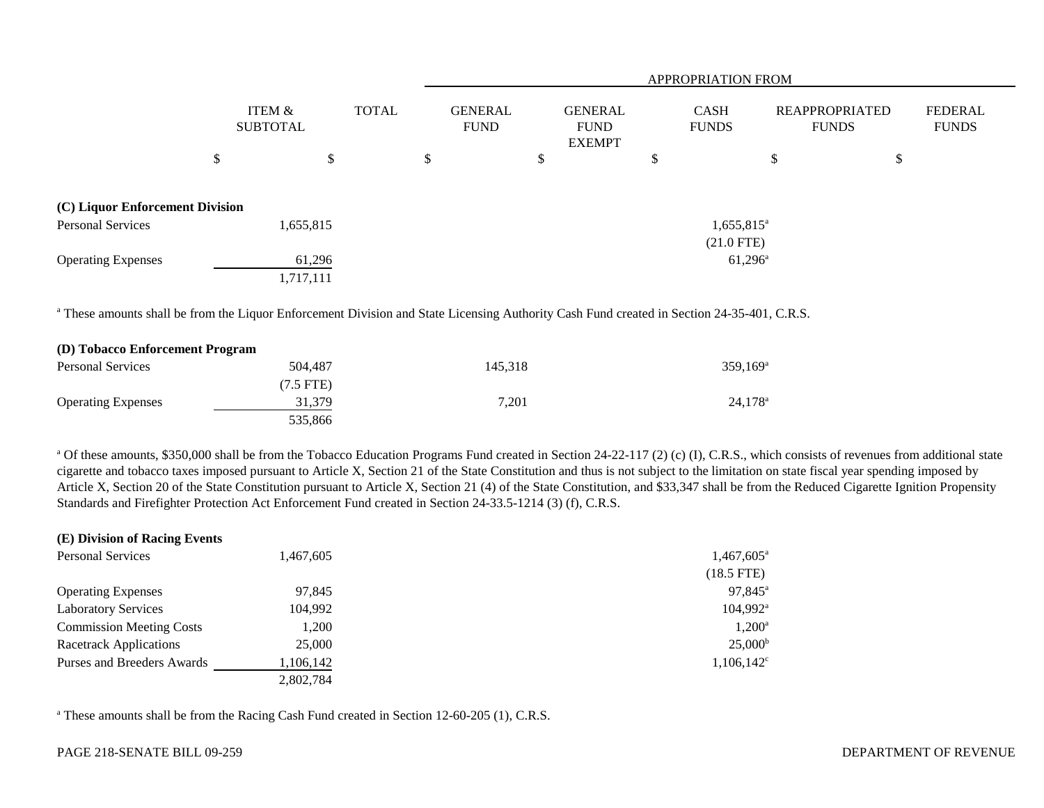|                                 |                           |    |              | <b>APPROPRIATION FROM</b>     |    |                                                |   |                             |    |                                       |                                |
|---------------------------------|---------------------------|----|--------------|-------------------------------|----|------------------------------------------------|---|-----------------------------|----|---------------------------------------|--------------------------------|
|                                 | ITEM &<br><b>SUBTOTAL</b> |    | <b>TOTAL</b> | <b>GENERAL</b><br><b>FUND</b> |    | <b>GENERAL</b><br><b>FUND</b><br><b>EXEMPT</b> |   | <b>CASH</b><br><b>FUNDS</b> |    | <b>REAPPROPRIATED</b><br><b>FUNDS</b> | <b>FEDERAL</b><br><b>FUNDS</b> |
| \$                              |                           | \$ |              | \$                            | \$ |                                                | D |                             | \$ | P                                     |                                |
| (C) Liquor Enforcement Division |                           |    |              |                               |    |                                                |   |                             |    |                                       |                                |
| <b>Personal Services</b>        | 1,655,815                 |    |              |                               |    |                                                |   | $1,655,815$ <sup>a</sup>    |    |                                       |                                |
|                                 |                           |    |              |                               |    |                                                |   | $(21.0$ FTE)                |    |                                       |                                |
| <b>Operating Expenses</b>       | 61,296                    |    |              |                               |    |                                                |   | $61,296^{\circ}$            |    |                                       |                                |
|                                 | 1,717,111                 |    |              |                               |    |                                                |   |                             |    |                                       |                                |

<sup>a</sup> These amounts shall be from the Liquor Enforcement Division and State Licensing Authority Cash Fund created in Section 24-35-401, C.R.S.

| (D) Tobacco Enforcement Program |             |         |                        |
|---------------------------------|-------------|---------|------------------------|
| <b>Personal Services</b>        | 504,487     | 145.318 | $359.169$ <sup>a</sup> |
|                                 | $(7.5$ FTE) |         |                        |
| <b>Operating Expenses</b>       | 31,379      | 7.201   | $24,178$ <sup>a</sup>  |
|                                 | 535,866     |         |                        |

<sup>a</sup> Of these amounts, \$350,000 shall be from the Tobacco Education Programs Fund created in Section 24-22-117 (2) (c) (I), C.R.S., which consists of revenues from additional state cigarette and tobacco taxes imposed pursuant to Article X, Section 21 of the State Constitution and thus is not subject to the limitation on state fiscal year spending imposed by Article X, Section 20 of the State Constitution pursuant to Article X, Section 21 (4) of the State Constitution, and \$33,347 shall be from the Reduced Cigarette Ignition Propensity Standards and Firefighter Protection Act Enforcement Fund created in Section 24-33.5-1214 (3) (f), C.R.S.

| (E) Division of Racing Events   |           |                      |
|---------------------------------|-----------|----------------------|
| <b>Personal Services</b>        | 1,467,605 | $1,467,605^{\circ}$  |
|                                 |           | $(18.5$ FTE)         |
| <b>Operating Expenses</b>       | 97,845    | 97,845 <sup>a</sup>  |
| <b>Laboratory Services</b>      | 104,992   | 104,992 <sup>a</sup> |
| <b>Commission Meeting Costs</b> | 1,200     | $1,200^{\rm a}$      |
| <b>Racetrack Applications</b>   | 25,000    | $25,000^{\rm b}$     |
| Purses and Breeders Awards      | 1,106,142 | $1,106,142^{\circ}$  |
|                                 | 2,802,784 |                      |

<sup>a</sup> These amounts shall be from the Racing Cash Fund created in Section 12-60-205 (1), C.R.S.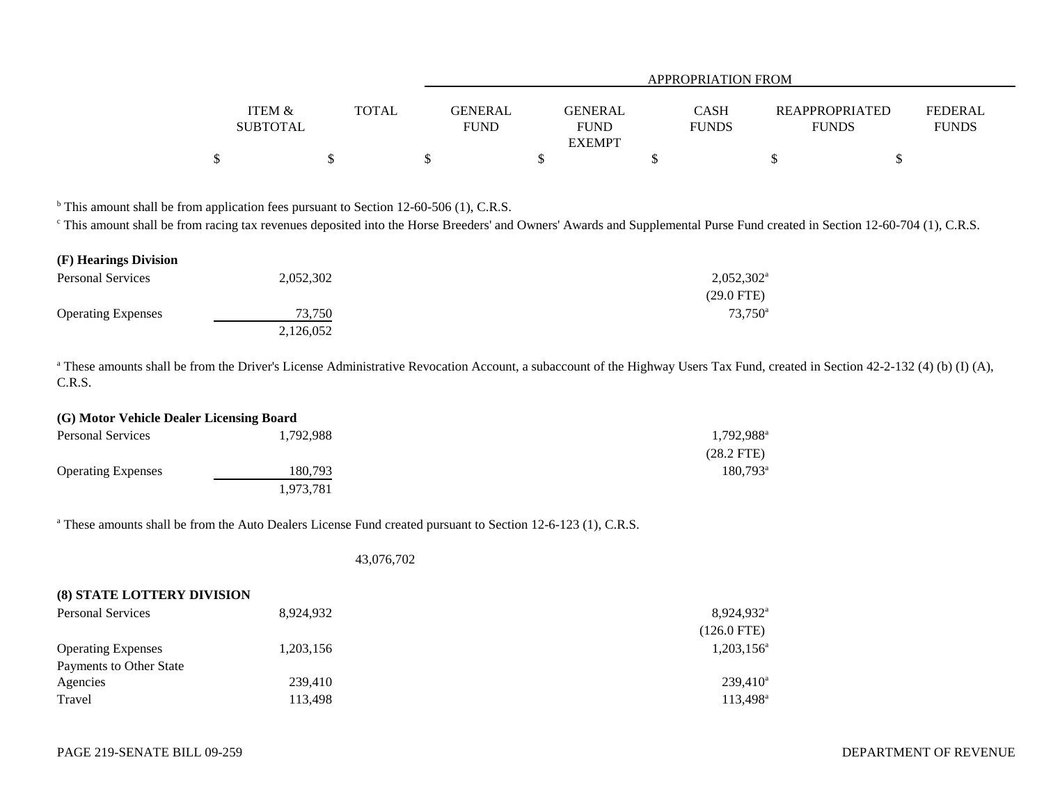|                           |              | APPROPRIATION FROM            |                                                       |  |                                                                  |  |  |  |  |  |  |
|---------------------------|--------------|-------------------------------|-------------------------------------------------------|--|------------------------------------------------------------------|--|--|--|--|--|--|
| ITEM &<br><b>SUBTOTAL</b> | <b>TOTAL</b> | <b>GENERAL</b><br><b>FUND</b> | GENERAL<br><b>CASH</b><br><b>FUNDS</b><br><b>FUND</b> |  | <b>REAPPROPRIATED</b><br>FEDERAL<br><b>FUNDS</b><br><b>FUNDS</b> |  |  |  |  |  |  |
|                           |              |                               | <b>EXEMPT</b>                                         |  |                                                                  |  |  |  |  |  |  |
|                           |              |                               |                                                       |  |                                                                  |  |  |  |  |  |  |

 $<sup>b</sup>$  This amount shall be from application fees pursuant to Section 12-60-506 (1), C.R.S.</sup>

<sup>c</sup> This amount shall be from racing tax revenues deposited into the Horse Breeders' and Owners' Awards and Supplemental Purse Fund created in Section 12-60-704 (1), C.R.S.

| (F) Hearings Division     |           |                     |
|---------------------------|-----------|---------------------|
| <b>Personal Services</b>  | 2,052,302 | $2,052,302^{\rm a}$ |
|                           |           | $(29.0$ FTE)        |
| <b>Operating Expenses</b> | 73,750    | $73,750^{\rm a}$    |
|                           | 2,126,052 |                     |

<sup>a</sup> These amounts shall be from the Driver's License Administrative Revocation Account, a subaccount of the Highway Users Tax Fund, created in Section 42-2-132 (4) (b) (I) (A), C.R.S.

| (G) Motor Vehicle Dealer Licensing Board |           |                        |  |  |  |  |
|------------------------------------------|-----------|------------------------|--|--|--|--|
| <b>Personal Services</b>                 | 1.792.988 | 1,792,988 <sup>a</sup> |  |  |  |  |
|                                          |           | $(28.2$ FTE)           |  |  |  |  |
| <b>Operating Expenses</b>                | 180.793   | $180.793^{\circ}$      |  |  |  |  |
|                                          | 1,973,781 |                        |  |  |  |  |

<sup>a</sup> These amounts shall be from the Auto Dealers License Fund created pursuant to Section 12-6-123 (1), C.R.S.

43,076,702

| <b>(8) STATE LOTTERY DIVISION</b> |           |                        |
|-----------------------------------|-----------|------------------------|
| <b>Personal Services</b>          | 8,924,932 | 8,924,932 <sup>a</sup> |
|                                   |           | $(126.0 \text{ FTE})$  |
| <b>Operating Expenses</b>         | 1,203,156 | $1,203,156^a$          |
| Payments to Other State           |           |                        |
| Agencies                          | 239,410   | $239,410^a$            |
| Travel                            | 113,498   | 113,498 <sup>a</sup>   |